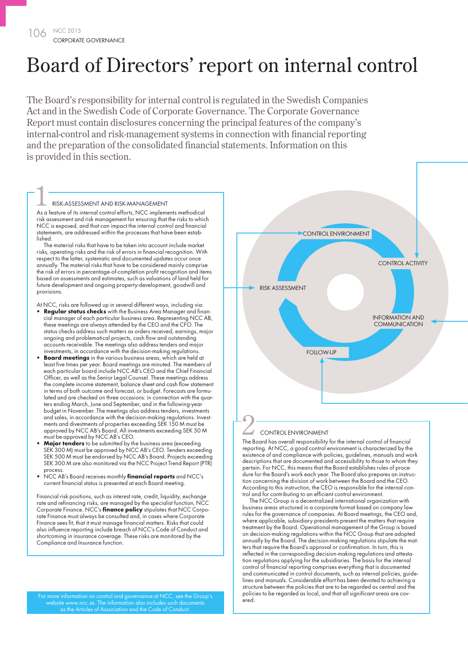# Board of Directors' report on internal control

The Board's responsibility for internal control is regulated in the Swedish Companies Act and in the Swedish Code of Corporate Governance. The Corporate Governance Report must contain disclosures concerning the principal features of the company's internal-control and risk-management systems in connection with financial reporting and the preparation of the consolidated financial statements. Information on this is provided in this section.

#### RISK-ASSESSMENT AND RISK-MANAGEMENT

RISK-ASSESSMENT AND RISK-MANAGEMENT<br>As a feature of its internal control efforts, NCC implements methodical risk assessment and risk management for ensuring that the risks to which NCC is exposed, and that can impact the internal control and financial statements, are addressed within the processes that have been established.

The material risks that have to be taken into account include market risks, operating risks and the risk of errors in financial recognition. With respect to the latter, systematic and documented updates occur once annually. The material risks that have to be considered mainly comprise the risk of errors in percentage-of-completion profit recognition and items based on assessments and estimates, such as valuations of land held for future development and ongoing property-development, goodwill and provisions.

At NCC, risks are followed up in several different ways, including via:

- **Regular status checks** with the Business Area Manager and financial manager of each particular business area. Representing NCC AB, these meetings are always attended by the CEO and the CFO. The status checks address such matters as orders received, earnings, major ongoing and problematical projects, cash flow and outstanding accounts receivable. The meetings also address tenders and major investments, in accordance with the decision-making regulations.
- **Board meetings** in the various business areas, which are held at least five times per year. Board meetings are minuted. The members of each particular board include NCC AB's CEO and the Chief Financial Officer, as well as the Senior Legal Counsel. These meetings address the complete income statement, balance sheet and cash flow statement in terms of both outcome and forecast, or budget. Forecasts are formulated and are checked on three occasions: in connection with the quarters ending March, June and September, and in the following-year budget in November. The meetings also address tenders, investments and sales, in accordance with the decision-making regulations. Investments and divestments of properties exceeding SEK 150 M must be approved by NCC AB's Board. All investments exceeding SEK 50 M must be approved by NCC AB's CEO.
- **Major tenders** to be submitted by the business area (exceeding SEK 300 M) must be approved by NCC AB's CEO. Tenders exceeding SEK 500 M must be endorsed by NCC AB's Board. Projects exceeding SEK 300 M are also monitored via the NCC Project Trend Report (PTR) process.
- NCC AB's Board receives monthly **financial reports** and NCC's current financial status is presented at each Board meeting.

Financial risk positions, such as interest rate, credit, liquidity, exchange rate and refinancing risks, are managed by the specialist function, NCC Corporate Finance. NCC's **finance policy** stipulates that NCC Corporate Finance must always be consulted and, in cases where Corporate Finance sees fit, that it must manage financial matters. Risks that could also influence reporting include breach of NCC's Code of Conduct and shortcoming in insurance coverage. These risks are monitored by the Compliance and Insurance function.

For more information on control and governance at NCC, see the Group's website www.ncc.se. The information also includes such documents as the Articles of Association and the Code of Conduct.



#### CONTROL ENVIRONMENT

The Board has overall responsibility for the internal control of financial<br>The Board has overall responsibility for the internal control of financial reporting. At NCC, a good control environment is characterized by the existence of and compliance with policies, guidelines, manuals and work descriptions that are documented and accessibility to those to whom they pertain. For NCC, this means that the Board establishes rules of procedure for the Board's work each year. The Board also prepares an instruction concerning the division of work between the Board and the CEO. According to this instruction, the CEO is responsible for the internal control and for contributing to an efficient control environment.

The NCC Group is a decentralized international organization with business areas structured in a corporate format based on company law rules for the governance of companies. At Board meetings, the CEO and, where applicable, subsidiary presidents present the matters that require treatment by the Board. Operational management of the Group is based on decision-making regulations within the NCC Group that are adopted annually by the Board. The decision-making regulations stipulate the matters that require the Board's approval or confirmation. In turn, this is reflected in the corresponding decision-making regulations and attestation regulations applying for the subsidiaries. The basis for the internal control of financial reporting comprises everything that is documented and communicated in control documents, such as internal policies, guidelines and manuals. Considerable effort has been devoted to achieving a structure between the policies that are to be regarded as central and the policies to be regarded as local, and that all significant areas are covered.